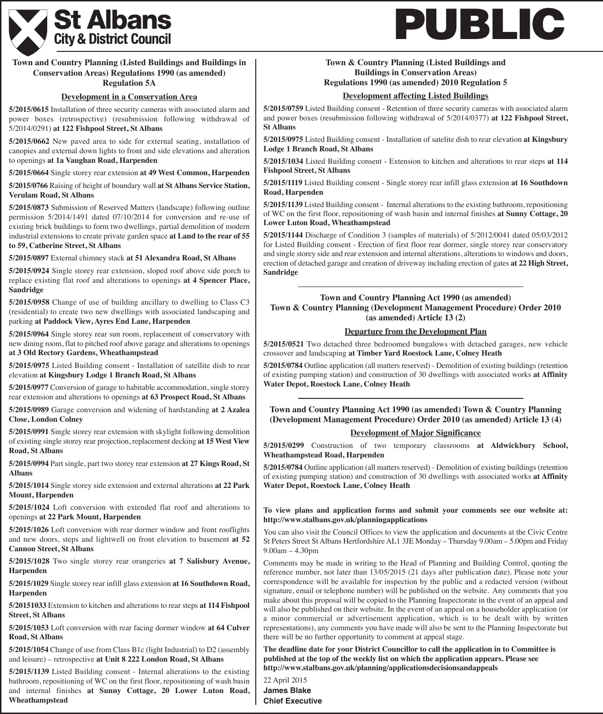

# **Town and Country Planning (Listed Buildings and Buildings in Conservation Areas) Regulations 1990 (as amended)**

#### **Regulation 5A**

#### **Development in a Conservation Area**

**5/2015/0615** Installation of three security cameras with associated alarm and power boxes (retrospective) (resubmission following withdrawal of 5/2014/0291) **at 122 Fishpool Street, St Albans**

**5/2015/0662** New paved area to side for external seating, installation of canopies and external down lights to front and side elevations and alteration to openings **at 1a Vaughan Road, Harpenden**

**5/2015/0664** Single storey rear extension **at 49 West Common, Harpenden**

**5/2015/0766** Raising of height of boundary wall **at St Albans Service Station, Verulam Road, St Albans**

**5/2015/0873** Submission of Reserved Matters (landscape) following outline permission 5/2014/1491 dated 07/10/2014 for conversion and re-use of existing brick buildings to form two dwellings, partial demolition of modern industrial extensions to create private garden space **at Land to the rear of 55 to 59, Catherine Street, St Albans**

**5/2015/0897** External chimney stack **at 51 Alexandra Road, St Albans**

**5/2015/0924** Single storey rear extension, sloped roof above side porch to replace existing flat roof and alterations to openings **at 4 Spencer Place, Sandridge**

**5/2015/0958** Change of use of building ancillary to dwelling to Class C3 (residential) to create two new dwellings with associated landscaping and parking **at Paddock View, Ayres End Lane, Harpenden**

**5/2015/0964** Single storey rear sun room, replacement of conservatory with new dining room, flat to pitched roof above garage and alterations to openings **at 3 Old Rectory Gardens, Wheathampstead**

**5/2015/0975** Listed Building consent - Installation of satellite dish to rear elevation **at Kingsbury Lodge 1 Branch Road, St Albans**

**5/2015/0977** Conversion of garage to habitable accommodation, single storey rear extension and alterations to openings **at 63 Prospect Road, St Albans**

**5/2015/0989** Garage conversion and widening of hardstanding **at 2 Azalea Close, London Colney**

**5/2015/0991** Single storey rear extension with skylight following demolition of existing single storey rear projection, replacement decking **at 15 West View Road, St Albans**

**5/2015/0994** Part single, part two storey rear extension **at 27 Kings Road, St Albans**

**5/2015/1014** Single storey side extension and external alterations **at 22 Park Mount, Harpenden**

**5/2015/1024** Loft conversion with extended flat roof and alterations to openings **at 22 Park Mount, Harpenden**

**5/2015/1026** Loft conversion with rear dormer window and front rooflights and new doors, steps and lightwell on front elevation to basement **at 52 Cannon Street, St Albans**

**5/2015/1028** Two single storey rear orangeries **at 7 Salisbury Avenue, Harpenden**

**5/2015/1029** Single storey rear infill glass extension **at 16 Southdown Road, Harpenden**

**5/20151033** Extension to kitchen and alterations to rear steps **at 114 Fishpool Street, St Albans**

**5/2015/1053** Loft conversion with rear facing dormer window **at 64 Culver Road, St Albans**

**5/2015/1054** Change of use from Class B1c (light Industrial) to D2 (assembly and leisure) – retrospective **at Unit 8 222 London Road, St Albans**

**5/2015/1139** Listed Building consent - Internal alterations to the existing bathroom, repositioning of WC on the first floor, repositioning of wash basin and internal finishes **at Sunny Cottage, 20 Lower Luton Road, Wheathampstead**

# **PUBLIC**

# **Town & Country Planning (Listed Buildings and Buildings in Conservation Areas)**

# **Regulations 1990 (as amended) 2010 Regulation 5**

## **Development affecting Listed Buildings**

**5/2015/0759** Listed Building consent - Retention of three security cameras with associated alarm and power boxes (resubmission following withdrawal of 5/2014/0377) **at 122 Fishpool Street, St Albans**

**5/2015/0975** Listed Building consent - Installation of satelite dish to rear elevation **at Kingsbury Lodge 1 Branch Road, St Albans**

**5/2015/1034** Listed Building consent - Extension to kitchen and alterations to rear steps **at 114 Fishpool Street, St Albans**

**5/2015/1119** Listed Building consent - Single storey rear infill glass extension **at 16 Southdown Road, Harpenden**

**5/2015/1139** Listed Building consent - Internal alterations to the existing bathroom, repositioning of WC on the first floor, repositioning of wash basin and internal finishes **at Sunny Cottage, 20 Lower Luton Road, Wheathampstead**

**5/2015/1144** Discharge of Condition 3 (samples of materials) of 5/2012/0041 dated 05/03/2012 for Listed Building consent - Erection of first floor rear dormer, single storey rear conservatory and single storey side and rear extension and internal alterations, alterations to windows and doors, erection of detached garage and creation of driveway including erection of gates **at 22 High Street, Sandridge**

#### **Town and Country Planning Act 1990 (as amended) Town & Country Planning (Development Management Procedure) Order 2010 (as amended) Article 13 (2)**

#### **Departure from the Development Plan**

**5/2015/0521** Two detached three bedroomed bungalows with detached garages, new vehicle crossover and landscaping **at Timber Yard Roestock Lane, Colney Heath**

**5/2015/0784** Outline application (all matters reserved) - Demolition of existing buildings (retention of existing pumping station) and construction of 30 dwellings with associated works **at Affinity Water Depot, Roestock Lane, Colney Heath**

**Town and Country Planning Act 1990 (as amended) Town & Country Planning (Development Management Procedure) Order 2010 (as amended) Article 13 (4)**

#### **Development of Major Significance**

**5/2015/0299** Construction of two temporary classrooms **at Aldwickbury School, Wheathampstead Road, Harpenden**

**5/2015/0784** Outline application (all matters reserved) - Demolition of existing buildings (retention of existing pumping station) and construction of 30 dwellings with associated works **at Affinity Water Depot, Roestock Lane, Colney Heath**

#### **To view plans and application forms and submit your comments see our website at: http://www.stalbans.gov.uk/planningapplications**

You can also visit the Council Offices to view the application and documents at the Civic Centre St Peters Street St Albans Hertfordshire AL1 3JE Monday – Thursday 9.00am – 5.00pm and Friday 9.00am – 4.30pm

Comments may be made in writing to the Head of Planning and Building Control, quoting the reference number, not later than 13/05/2015 (21 days after publication date). Please note your correspondence will be available for inspection by the public and a redacted version (without signature, email or telephone number) will be published on the website. Any comments that you make about this proposal will be copied to the Planning Inspectorate in the event of an appeal and will also be published on their website. In the event of an appeal on a householder application (or a minor commercial or advertisement application, which is to be dealt with by written representations), any comments you have made will also be sent to the Planning Inspectorate but there will be no further opportunity to comment at appeal stage.

**The deadline date for your District Councillor to call the application in to Committee is published at the top of the weekly list on which the application appears. Please see http://www.stalbans.gov.uk/planning/applicationsdecisionsandappeals**

22 April 2015 **James Blake Chief Executive**